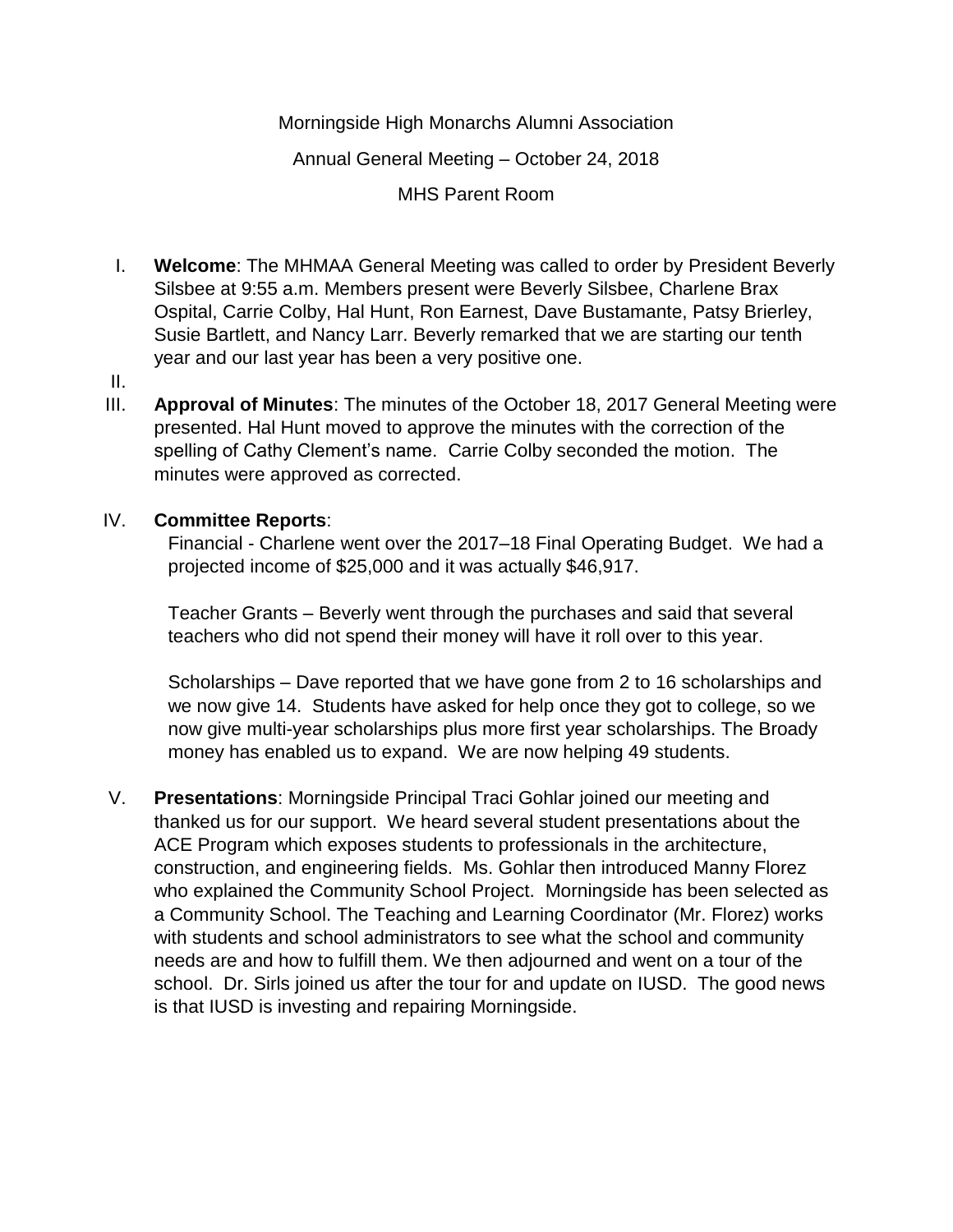Morningside High Monarchs Alumni Association

Annual General Meeting – October 24, 2018

MHS Parent Room

I. **Welcome**: The MHMAA General Meeting was called to order by President Beverly Silsbee at 9:55 a.m. Members present were Beverly Silsbee, Charlene Brax Ospital, Carrie Colby, Hal Hunt, Ron Earnest, Dave Bustamante, Patsy Brierley, Susie Bartlett, and Nancy Larr. Beverly remarked that we are starting our tenth year and our last year has been a very positive one.

## II.

III. **Approval of Minutes**: The minutes of the October 18, 2017 General Meeting were presented. Hal Hunt moved to approve the minutes with the correction of the spelling of Cathy Clement's name. Carrie Colby seconded the motion. The minutes were approved as corrected.

## IV. **Committee Reports**:

Financial - Charlene went over the 2017–18 Final Operating Budget. We had a projected income of \$25,000 and it was actually \$46,917.

Teacher Grants – Beverly went through the purchases and said that several teachers who did not spend their money will have it roll over to this year.

Scholarships – Dave reported that we have gone from 2 to 16 scholarships and we now give 14. Students have asked for help once they got to college, so we now give multi-year scholarships plus more first year scholarships. The Broady money has enabled us to expand. We are now helping 49 students.

V. **Presentations**: Morningside Principal Traci Gohlar joined our meeting and thanked us for our support. We heard several student presentations about the ACE Program which exposes students to professionals in the architecture, construction, and engineering fields. Ms. Gohlar then introduced Manny Florez who explained the Community School Project. Morningside has been selected as a Community School. The Teaching and Learning Coordinator (Mr. Florez) works with students and school administrators to see what the school and community needs are and how to fulfill them. We then adjourned and went on a tour of the school. Dr. Sirls joined us after the tour for and update on IUSD. The good news is that IUSD is investing and repairing Morningside.